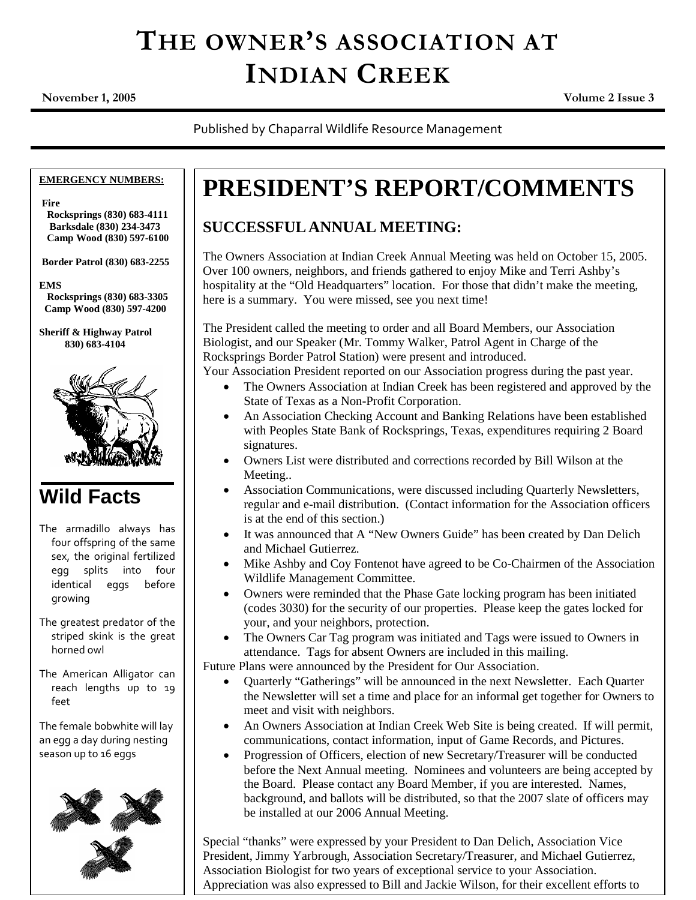# **THE OWNER'S ASSOCIATION AT INDIAN CREEK**

**November 1, 2005 Volume 2 Issue 3**

Published by Chaparral Wildlife Resource Management

#### **EMERGENCY NUMBERS:**

**Fire**

**Rocksprings (830) 683-4111 Barksdale (830) 234-3473 Camp Wood (830) 597-6100**

**Border Patrol (830) 683-2255**

**EMS**

**Rocksprings (830) 683-3305 Camp Wood (830) 597-4200**

**Sheriff & Highway Patrol 830) 683-4104**



### **Wild Facts**

The armadillo always has four offspring of the same sex, the original fertilized egg splits into four identical eggs before growing

The greatest predator of the striped skink is the great horned owl

The American Alligator can reach lengths up to 19 feet

The female bobwhite will lay an egg a day during nesting season up to 16 eggs



### **PRESIDENT'S REPORT/COMMENTS**

### **SUCCESSFUL ANNUAL MEETING:**

The Owners Association at Indian Creek Annual Meeting was held on October 15, 2005. Over 100 owners, neighbors, and friends gathered to enjoy Mike and Terri Ashby's hospitality at the "Old Headquarters" location. For those that didn't make the meeting, here is a summary. You were missed, see you next time!

The President called the meeting to order and all Board Members, our Association Biologist, and our Speaker (Mr. Tommy Walker, Patrol Agent in Charge of the Rocksprings Border Patrol Station) were present and introduced.

Your Association President reported on our Association progress during the past year.

- The Owners Association at Indian Creek has been registered and approved by the State of Texas as a Non-Profit Corporation.
- An Association Checking Account and Banking Relations have been established with Peoples State Bank of Rocksprings, Texas, expenditures requiring 2 Board signatures.
- Owners List were distributed and corrections recorded by Bill Wilson at the Meeting..
- Association Communications, were discussed including Quarterly Newsletters, regular and e-mail distribution. (Contact information for the Association officers is at the end of this section.)
- It was announced that A "New Owners Guide" has been created by Dan Delich and Michael Gutierrez.
- Mike Ashby and Coy Fontenot have agreed to be Co-Chairmen of the Association Wildlife Management Committee.
- Owners were reminded that the Phase Gate locking program has been initiated (codes 3030) for the security of our properties. Please keep the gates locked for your, and your neighbors, protection.
- The Owners Car Tag program was initiated and Tags were issued to Owners in attendance. Tags for absent Owners are included in this mailing.

Future Plans were announced by the President for Our Association.

- Quarterly "Gatherings" will be announced in the next Newsletter. Each Quarter the Newsletter will set a time and place for an informal get together for Owners to meet and visit with neighbors.
- An Owners Association at Indian Creek Web Site is being created. If will permit, communications, contact information, input of Game Records, and Pictures.
- Progression of Officers, election of new Secretary/Treasurer will be conducted before the Next Annual meeting. Nominees and volunteers are being accepted by the Board. Please contact any Board Member, if you are interested. Names, background, and ballots will be distributed, so that the 2007 slate of officers may be installed at our 2006 Annual Meeting.

Special "thanks" were expressed by your President to Dan Delich, Association Vice President, Jimmy Yarbrough, Association Secretary/Treasurer, and Michael Gutierrez, Association Biologist for two years of exceptional service to your Association. Appreciation was also expressed to Bill and Jackie Wilson, for their excellent efforts to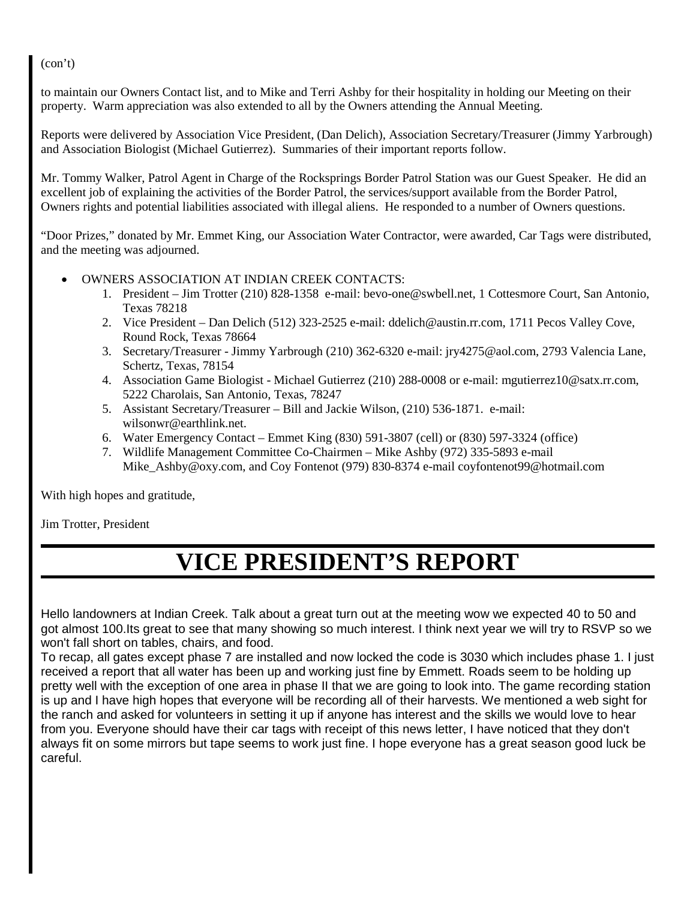(con't)

to maintain our Owners Contact list, and to Mike and Terri Ashby for their hospitality in holding our Meeting on their property. Warm appreciation was also extended to all by the Owners attending the Annual Meeting.

Reports were delivered by Association Vice President, (Dan Delich), Association Secretary/Treasurer (Jimmy Yarbrough) and Association Biologist (Michael Gutierrez). Summaries of their important reports follow.

Mr. Tommy Walker, Patrol Agent in Charge of the Rocksprings Border Patrol Station was our Guest Speaker. He did an excellent job of explaining the activities of the Border Patrol, the services/support available from the Border Patrol, Owners rights and potential liabilities associated with illegal aliens. He responded to a number of Owners questions.

"Door Prizes," donated by Mr. Emmet King, our Association Water Contractor, were awarded, Car Tags were distributed, and the meeting was adjourned.

- OWNERS ASSOCIATION AT INDIAN CREEK CONTACTS:
	- 1. President Jim Trotter (210) 828-1358 e-mail: bevo-one@swbell.net, 1 Cottesmore Court, San Antonio, Texas 78218
	- 2. Vice President Dan Delich (512) 323-2525 e-mail: ddelich@austin.rr.com, 1711 Pecos Valley Cove, Round Rock, Texas 78664
	- 3. Secretary/Treasurer Jimmy Yarbrough (210) 362-6320 e-mail: jry4275@aol.com, 2793 Valencia Lane, Schertz, Texas, 78154
	- 4. Association Game Biologist Michael Gutierrez (210) 288-0008 or e-mail: mgutierrez10@satx.rr.com, 5222 Charolais, San Antonio, Texas, 78247
	- 5. Assistant Secretary/Treasurer Bill and Jackie Wilson, (210) 536-1871. e-mail: wilsonwr@earthlink.net.
	- 6. Water Emergency Contact Emmet King (830) 591-3807 (cell) or (830) 597-3324 (office)
	- 7. Wildlife Management Committee Co-Chairmen Mike Ashby (972) 335-5893 e-mail Mike\_Ashby@oxy.com, and Coy Fontenot (979) 830-8374 e-mail coyfontenot99@hotmail.com

With high hopes and gratitude,

Jim Trotter, President

### **VICE PRESIDENT'S REPORT**

Hello landowners at Indian Creek. Talk about a great turn out at the meeting wow we expected 40 to 50 and got almost 100.Its great to see that many showing so much interest. I think next year we will try to RSVP so we won't fall short on tables, chairs, and food.

To recap, all gates except phase 7 are installed and now locked the code is 3030 which includes phase 1. I just received a report that all water has been up and working just fine by Emmett. Roads seem to be holding up pretty well with the exception of one area in phase II that we are going to look into. The game recording station is up and I have high hopes that everyone will be recording all of their harvests. We mentioned a web sight for the ranch and asked for volunteers in setting it up if anyone has interest and the skills we would love to hear from you. Everyone should have their car tags with receipt of this news letter, I have noticed that they don't always fit on some mirrors but tape seems to work just fine. I hope everyone has a great season good luck be careful.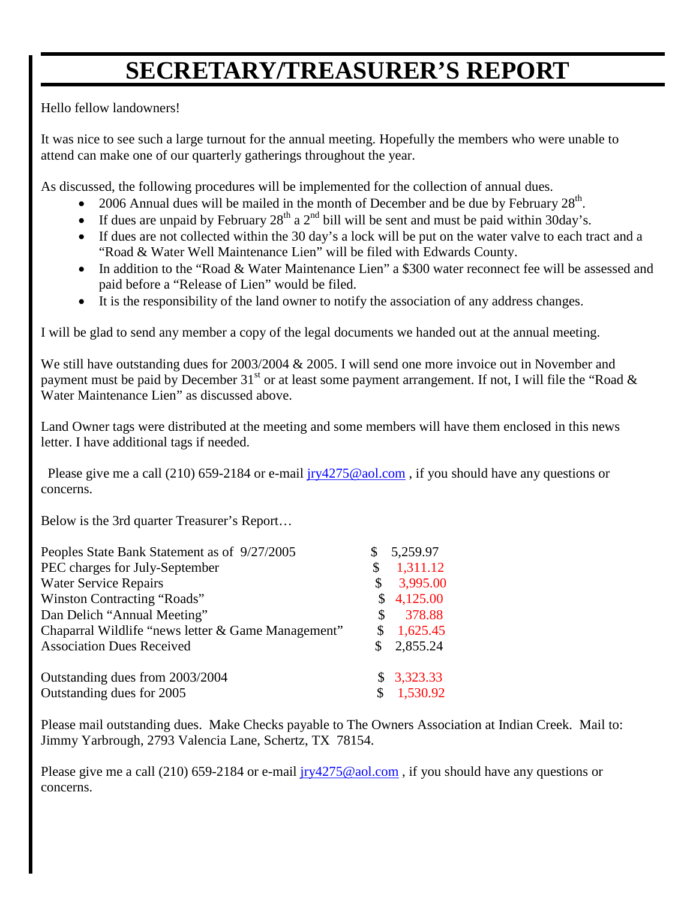## **SECRETARY/TREASURER'S REPORT**

Hello fellow landowners!

It was nice to see such a large turnout for the annual meeting. Hopefully the members who were unable to attend can make one of our quarterly gatherings throughout the year.

As discussed, the following procedures will be implemented for the collection of annual dues.

- 2006 Annual dues will be mailed in the month of December and be due by February  $28<sup>th</sup>$ .
- If dues are unpaid by February  $28<sup>th</sup>$  a  $2<sup>nd</sup>$  bill will be sent and must be paid within 30day's.
- If dues are not collected within the 30 day's a lock will be put on the water valve to each tract and a "Road & Water Well Maintenance Lien" will be filed with Edwards County.
- In addition to the "Road & Water Maintenance Lien" a \$300 water reconnect fee will be assessed and paid before a "Release of Lien" would be filed.
- It is the responsibility of the land owner to notify the association of any address changes.

I will be glad to send any member a copy of the legal documents we handed out at the annual meeting.

We still have outstanding dues for 2003/2004 & 2005. I will send one more invoice out in November and payment must be paid by December 31<sup>st</sup> or at least some payment arrangement. If not, I will file the "Road  $\&$ Water Maintenance Lien" as discussed above.

Land Owner tags were distributed at the meeting and some members will have them enclosed in this news letter. I have additional tags if needed.

Please give me a call (210) 659-2184 or e-mail  $iry4275@aol.com$ , if you should have any questions or concerns.

Below is the 3rd quarter Treasurer's Report…

| Peoples State Bank Statement as of 9/27/2005       | \$ | 5,259.97   |
|----------------------------------------------------|----|------------|
| PEC charges for July-September                     | \$ | 1,311.12   |
| <b>Water Service Repairs</b>                       |    | 3,995.00   |
| Winston Contracting "Roads"                        | S. | 4,125.00   |
| Dan Delich "Annual Meeting"                        | S  | 378.88     |
| Chaparral Wildlife "news letter & Game Management" | \$ | 1,625.45   |
| <b>Association Dues Received</b>                   |    | 2,855.24   |
| Outstanding dues from 2003/2004                    |    | \$3,323.33 |
| Outstanding dues for 2005                          | \$ | 1,530.92   |

Please mail outstanding dues. Make Checks payable to The Owners Association at Indian Creek. Mail to: Jimmy Yarbrough, 2793 Valencia Lane, Schertz, TX 78154.

Please give me a call (210) 659-2184 or e-mail  $iry4275@aol.com$ , if you should have any questions or concerns.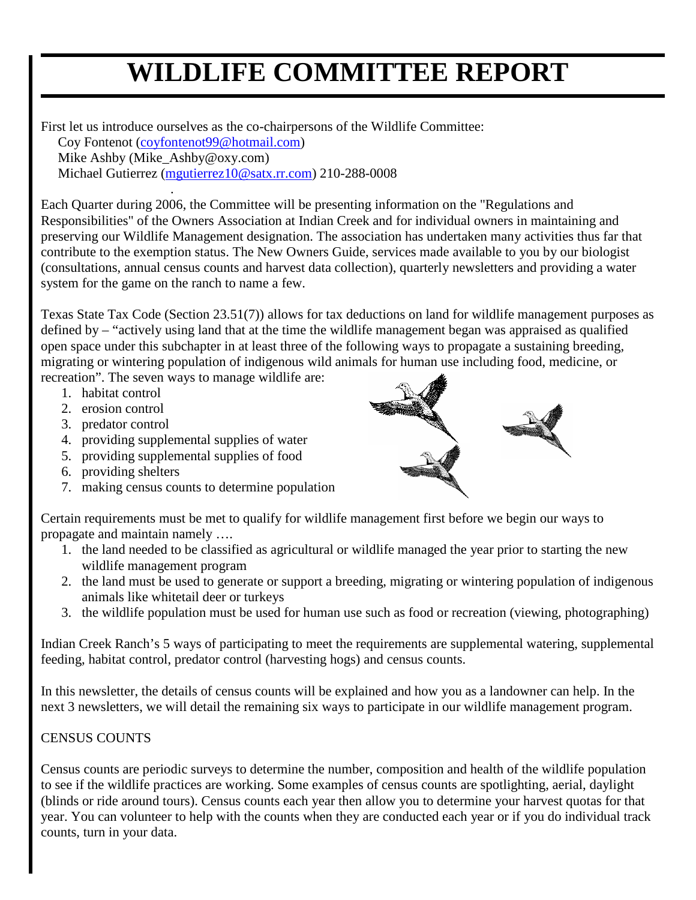# **WILDLIFE COMMITTEE REPORT**

First let us introduce ourselves as the co-chairpersons of the Wildlife Committee: Coy Fontenot (coyfontenot99@hotmail.com)

Mike Ashby (Mike\_Ashby@oxy.com)

.

Michael Gutierrez (mgutierrez10@satx.rr.com) 210-288-0008

Each Quarter during 2006, the Committee will be presenting information on the "Regulations and Responsibilities" of the Owners Association at Indian Creek and for individual owners in maintaining and preserving our Wildlife Management designation. The association has undertaken many activities thus far that contribute to the exemption status. The New Owners Guide, services made available to you by our biologist (consultations, annual census counts and harvest data collection), quarterly newsletters and providing a water system for the game on the ranch to name a few.

Texas State Tax Code (Section 23.51(7)) allows for tax deductions on land for wildlife management purposes as defined by – "actively using land that at the time the wildlife management began was appraised as qualified open space under this subchapter in at least three of the following ways to propagate a sustaining breeding, migrating or wintering population of indigenous wild animals for human use including food, medicine, or recreation". The seven ways to manage wildlife are:

1. habitat control

- 2. erosion control
- 3. predator control
- 4. providing supplemental supplies of water
- 5. providing supplemental supplies of food
- 6. providing shelters
- 7. making census counts to determine population



Certain requirements must be met to qualify for wildlife management first before we begin our ways to propagate and maintain namely ….

- 1. the land needed to be classified as agricultural or wildlife managed the year prior to starting the new wildlife management program
- 2. the land must be used to generate or support a breeding, migrating or wintering population of indigenous animals like whitetail deer or turkeys
- 3. the wildlife population must be used for human use such as food or recreation (viewing, photographing)

Indian Creek Ranch's 5 ways of participating to meet the requirements are supplemental watering, supplemental feeding, habitat control, predator control (harvesting hogs) and census counts.

In this newsletter, the details of census counts will be explained and how you as a landowner can help. In the next 3 newsletters, we will detail the remaining six ways to participate in our wildlife management program.

#### CENSUS COUNTS

Census counts are periodic surveys to determine the number, composition and health of the wildlife population to see if the wildlife practices are working. Some examples of census counts are spotlighting, aerial, daylight (blinds or ride around tours). Census counts each year then allow you to determine your harvest quotas for that year. You can volunteer to help with the counts when they are conducted each year or if you do individual track counts, turn in your data.